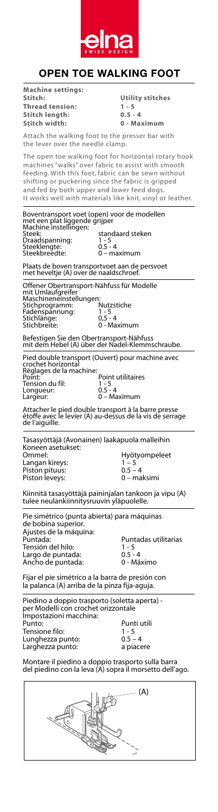

## **OPEN TOE WALKING FOOT**

**Machine settings: Stitch: Utility stitches Thread tension:** 1 - 5<br> **Stitch length:** 0.5 -**Stitch length: 0.5 - 4 Stitch width: 0 - Maximum** Attach the walking foot to the presser bar with the lever over the needle clamp. The open toe walking foot for horizontal rotary hook machines "walks" over fabric to assist with smooth feeding. With this foot, fabric can be sewn without shifting or puckering since the fabric is gripped and fed by both upper and lower feed dogs. It works well with materials like knit, vinyl or leather. Boventransport voet (open) voor de modellen<br>met een plat liggende grijper<br>Machine instellingen:<br>Steek: standaard steken Draadspanning: 1 - 5 Steeklengte: 0.5 - 4 Steekbreedte: 0 – maximum Plaats de boven transportvoet aan de persvoet met heveltje (A) over de naaldschroef. Offener Obertransport-Nähfuss für Modelle mit Umlaufgreifer Maschineneinstellungen: Stichprogramm: Nutzstiche Fadenspannung: 1 - 5 Stichlänge: 0,5 - 4 Stichbreite: 0 - Maximum stigen Sie den Obertransport-Nähfuss Befestigen Sie den Obertransport-Nähfuss mit dem Hebel (A) über der Nadel-Klemmschraube. Pied double transport (Ouvert) pour machine avec crochet horizontal Réglages de la machine: Point: Point utilitaires Tension du fil: 1 - 5 Longueur:<br>Largeur: .<br>- Maximum Attacher le pied double transport à la barre presse étoffe avec le levier (A) au-dessus de la vis de serrage de l'aiguille. Tasasyöttäjä (Avonainen) laakapuola malleihin Koneen asetukset:<br>Ommel: n merken kallen.<br>Ommel: hyötyompeleet Langan kireys: 1 – 5 Koneen asetukset: Ommel: Hyötyompeleet Langan kireys: 1 – 5 Piston pituus: 0.5 – 4 Piston leveys: 0 – maksimi Piston pituus: 0.5 – 4 Kiinnitä tasasyöttäjä paininjalan tankoon ja vipu (A) tulee neulankiinnitysruuvin yläpuolelle.<br>———————————————————— Pie simétrico (punta abierta) para máquinas de bobina superior. ue bobina superior.<br>Ajustes de la máquina:<br>Puntada: Puntada: Puntadas utilitarias a:  $\overline{a}$ Tensión del hilo: 1 - 5 Ajustes de la máquina:  $\alpha$  del hilo:  $1 - 5$ rensión der mio.<br>Largo de puntada:  $\begin{array}{cc} 0.5 - 4 \\ 0.95 - 4 \end{array}$ Ancho de puntada:  $\qquad 0$  - Máximo Fijar el pie simétrico a la barra de presión con la palanca (A) arriba de la pinza fija-aguja. Piedino a doppio trasporto (soletta aperta) - la palanca (A) arriba de la pinza fija-aguja. per Modelli con crochet orizzontale<br>Ingentalismi magghino Impostazioni macchina:<br>P Punto: Punti utili<br>Tensione filo: 1 - 5 Tensione filo: 1 - 5 Impostazioni macchina: Punto: Punti utili Lunghezza punto:  $0.5 - 4$ Larghezza punto: a piacere Larghezza punto: a piacere Montare il piedino a doppio trasporto sulla barra del piedino con la leva (A) sopra il morsetto dell'ago. del piedino con la leva (A) sopra il morsetto dell' del piedino con la leva (A) sopra il morsetto dell'ago. $\overline{a}$ (A) A ø

to